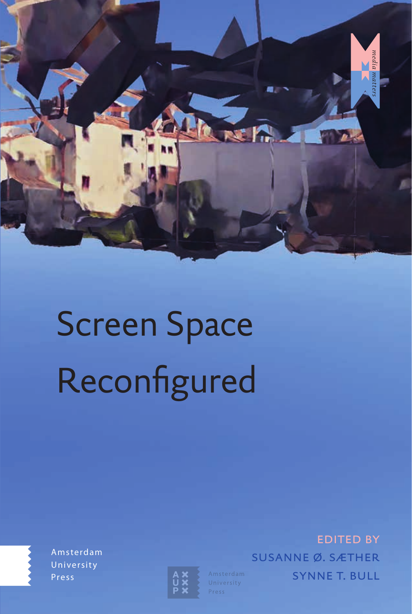

# Screen Space Reconfigured

Amsterdam University Press



edited by susanne ø. sæther **SYNNE T. BULL**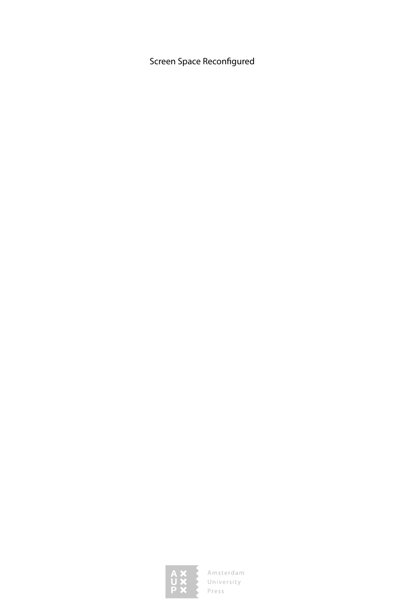Screen Space Reconfigured

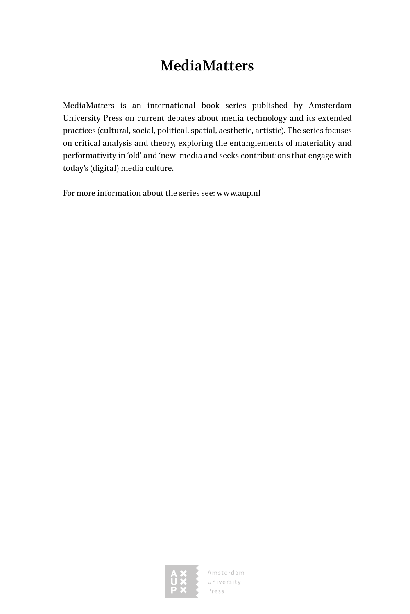## **MediaMatters**

MediaMatters is an international book series published by Amsterdam University Press on current debates about media technology and its extended practices (cultural, social, political, spatial, aesthetic, artistic). The series focuses on critical analysis and theory, exploring the entanglements of materiality and performativity in 'old' and 'new' media and seeks contributions that engage with today's (digital) media culture.

For more information about the series see: www.aup.nl

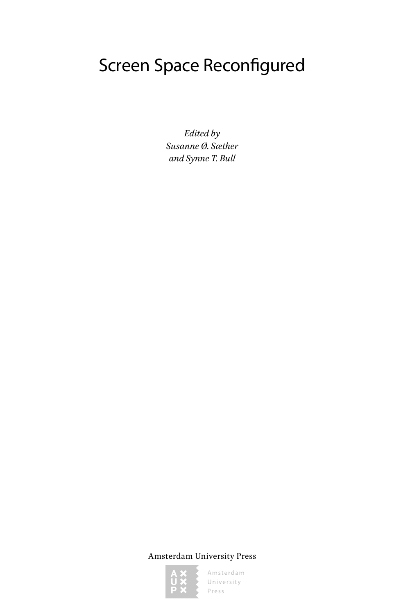## Screen Space Reconfigured

*Edited by Susanne Ø. Sæther and Synne T. Bull*

Amsterdam University Press

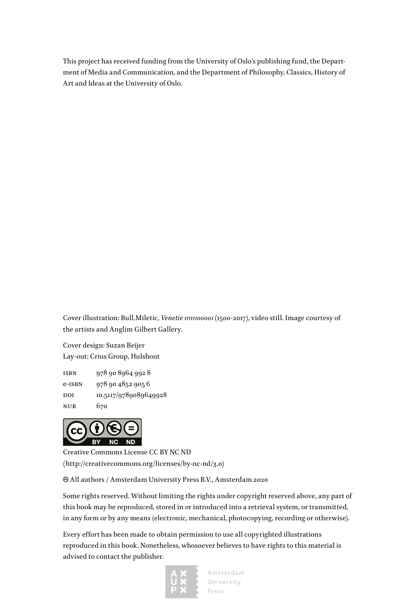This project has received funding from the University of Oslo's publishing fund, the Department of Media and Communication, and the Department of Philosophy, Classics, History of Art and Ideas at the University of Oslo.

Cover illustration: Bull.Miletic, *Venetie 11111100001* (1500-2017), video still. Image courtesy of the artists and Anglim Gilbert Gallery.

Cover design: Suzan Beijer Lay-out: Crius Group, Hulshout

isbn 978 90 8964 992 8 e-isbn 978 90 4852 905 6 DOI 10.5117/9789089649928 nur 670



Creative Commons License CC BY NC ND (http://creativecommons.org/licenses/by-nc-nd/3.0)

All authors / Amsterdam University Press B.V., Amsterdam 2020

Some rights reserved. Without limiting the rights under copyright reserved above, any part of this book may be reproduced, stored in or introduced into a retrieval system, or transmitted, in any form or by any means (electronic, mechanical, photocopying, recording or otherwise).

Every effort has been made to obtain permission to use all copyrighted illustrations reproduced in this book. Nonetheless, whosoever believes to have rights to this material is advised to contact the publisher.

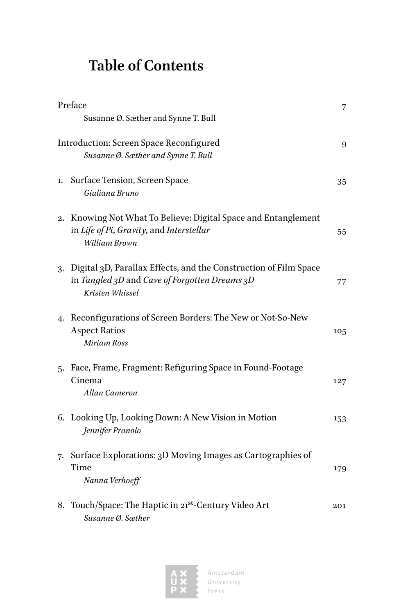## **Table of Contents**

| Preface |                                                                                                                                         | 7   |
|---------|-----------------------------------------------------------------------------------------------------------------------------------------|-----|
|         | Susanne Ø. Sæther and Synne T. Bull                                                                                                     |     |
|         | Introduction: Screen Space Reconfigured<br>Susanne Ø. Sæther and Synne T. Bull                                                          |     |
| 1.      | Surface Tension, Screen Space<br>Giuliana Bruno                                                                                         | 35  |
|         | 2. Knowing Not What To Believe: Digital Space and Entanglement<br>in Life of Pi, Gravity, and Interstellar<br>William Brown             | 55  |
|         | 3. Digital 3D, Parallax Effects, and the Construction of Film Space<br>in Tangled 3D and Cave of Forgotten Dreams 3D<br>Kristen Whissel | 77  |
|         | 4. Reconfigurations of Screen Borders: The New or Not-So-New<br><b>Aspect Ratios</b><br>Miriam Ross                                     | 105 |
|         | 5. Face, Frame, Fragment: Refiguring Space in Found-Footage<br>Cinema<br>Allan Cameron                                                  | 127 |
|         | 6. Looking Up, Looking Down: A New Vision in Motion<br>Jennifer Pranolo                                                                 | 153 |
| 7.      | Surface Explorations: 3D Moving Images as Cartographies of<br>Time<br>Nanna Verhoeff                                                    | 179 |
|         | 8. Touch/Space: The Haptic in 21st-Century Video Art<br>Susanne Ø. Sæther                                                               | 201 |

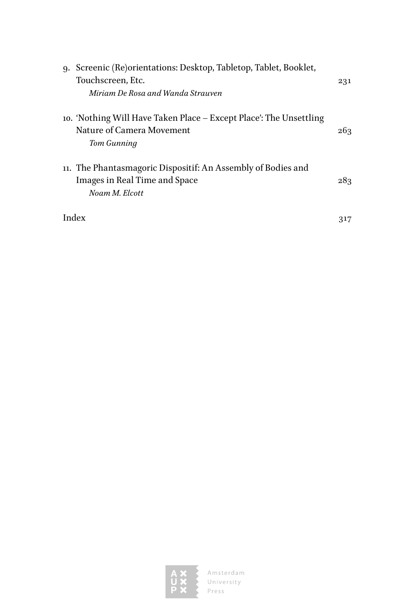| 9. Screenic (Re)orientations: Desktop, Tabletop, Tablet, Booklet,  |     |
|--------------------------------------------------------------------|-----|
| Touchscreen, Etc.                                                  | 231 |
| Miriam De Rosa and Wanda Strauven                                  |     |
| 10. 'Nothing Will Have Taken Place – Except Place': The Unsettling |     |
| Nature of Camera Movement                                          | 263 |
| Tom Gunning                                                        |     |
| 11. The Phantasmagoric Dispositif: An Assembly of Bodies and       |     |
| Images in Real Time and Space                                      | 283 |
| Noam M. Elcott                                                     |     |
| Index                                                              |     |

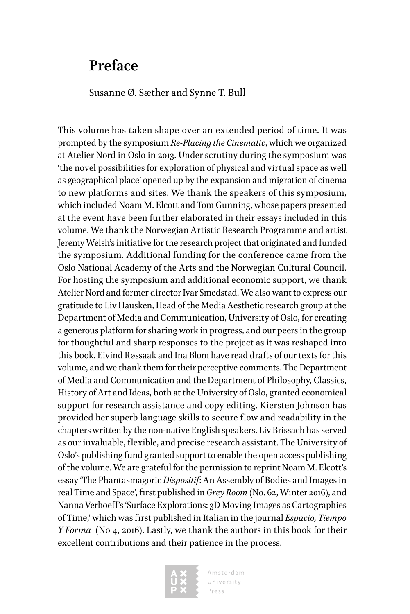### <span id="page-7-0"></span>**Preface**

Susanne Ø. Sæther and Synne T. Bull

This volume has taken shape over an extended period of time. It was prompted by the symposium *Re-Placing the Cinematic*, which we organized at Atelier Nord in Oslo in 2013. Under scrutiny during the symposium was 'the novel possibilities for exploration of physical and virtual space as well as geographical place' opened up by the expansion and migration of cinema to new platforms and sites. We thank the speakers of this symposium, which included Noam M. Elcott and Tom Gunning, whose papers presented at the event have been further elaborated in their essays included in this volume. We thank the Norwegian Artistic Research Programme and artist Jeremy Welsh's initiative for the research project that originated and funded the symposium. Additional funding for the conference came from the Oslo National Academy of the Arts and the Norwegian Cultural Council. For hosting the symposium and additional economic support, we thank Atelier Nord and former director Ivar Smedstad. We also want to express our gratitude to Liv Hausken, Head of the Media Aesthetic research group at the Department of Media and Communication, University of Oslo, for creating a generous platform for sharing work in progress, and our peers in the group for thoughtful and sharp responses to the project as it was reshaped into this book. Eivind Røssaak and Ina Blom have read drafts of our texts for this volume, and we thank them for their perceptive comments. The Department of Media and Communication and the Department of Philosophy, Classics, History of Art and Ideas, both at the University of Oslo, granted economical support for research assistance and copy editing. Kiersten Johnson has provided her superb language skills to secure flow and readability in the chapters written by the non-native English speakers. Liv Brissach has served as our invaluable, flexible, and precise research assistant. The University of Oslo's publishing fund granted support to enable the open access publishing of the volume. We are grateful for the permission to reprint Noam M. Elcott's essay 'The Phantasmagoric *Dispositif*: An Assembly of Bodies and Images in real Time and Space', first published in *Grey Room* (No. 62, Winter 2016), and Nanna Verhoeff's 'Surface Explorations: 3D Moving Images as Cartographies of Time,' which was first published in Italian in the journal *Espacio, Tiempo Y Forma* (No 4, 2016). Lastly, we thank the authors in this book for their excellent contributions and their patience in the process.

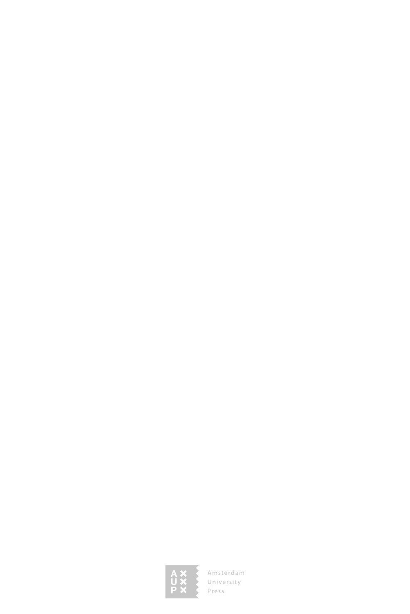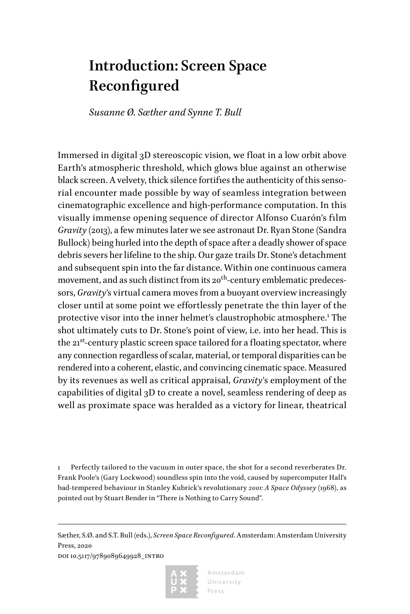## <span id="page-9-0"></span>**Introduction: Screen Space Reconfigured**

*Susanne Ø. Sæther and Synne T. Bull*

Immersed in digital 3D stereoscopic vision, we float in a low orbit above Earth's atmospheric threshold, which glows blue against an otherwise black screen. A velvety, thick silence fortifies the authenticity of this sensorial encounter made possible by way of seamless integration between cinematographic excellence and high-performance computation. In this visually immense opening sequence of director Alfonso Cuarón's film *Gravity* (2013), a few minutes later we see astronaut Dr. Ryan Stone (Sandra Bullock) being hurled into the depth of space after a deadly shower of space debris severs her lifeline to the ship. Our gaze trails Dr. Stone's detachment and subsequent spin into the far distance. Within one continuous camera movement, and as such distinct from its 20<sup>th</sup>-century emblematic predecessors, *Gravity*'s virtual camera moves from a buoyant overview increasingly closer until at some point we effortlessly penetrate the thin layer of the protective visor into the inner helmet's claustrophobic atmosphere.<sup>1</sup> The shot ultimately cuts to Dr. Stone's point of view, i.e. into her head. This is the  $21^{st}$ -century plastic screen space tailored for a floating spectator, where any connection regardless of scalar, material, or temporal disparities can be rendered into a coherent, elastic, and convincing cinematic space. Measured by its revenues as well as critical appraisal, *Gravity*'s employment of the capabilities of digital 3D to create a novel, seamless rendering of deep as well as proximate space was heralded as a victory for linear, theatrical

1 Perfectly tailored to the vacuum in outer space, the shot for a second reverberates Dr. Frank Poole's (Gary Lockwood) soundless spin into the void, caused by supercomputer Hall's bad-tempered behaviour in Stanley Kubrick's revolutionary *2001: A Space Odyssey* (1968), as pointed out by Stuart Bender in "There is Nothing to Carry Sound".

Sæther, S.Ø. and S.T. Bull (eds.), *Screen Space Reconfigured*. Amsterdam: Amsterdam University Press, 2020

doi 10.5117/9789089649928\_intro

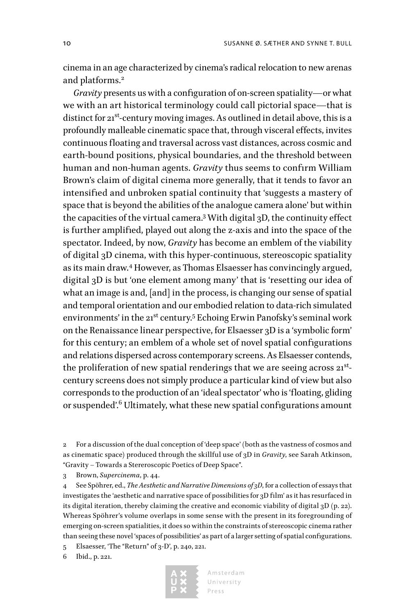cinema in an age characterized by cinema's radical relocation to new arenas and platforms.<sup>2</sup>

*Gravity* presents us with a configuration of on-screen spatiality—or what we with an art historical terminology could call pictorial space—that is distinct for  $21^{st}$ -century moving images. As outlined in detail above, this is a profoundly malleable cinematic space that, through visceral effects, invites continuous floating and traversal across vast distances, across cosmic and earth-bound positions, physical boundaries, and the threshold between human and non-human agents. *Gravity* thus seems to confirm William Brown's claim of digital cinema more generally, that it tends to favor an intensified and unbroken spatial continuity that 'suggests a mastery of space that is beyond the abilities of the analogue camera alone' but within the capacities of the virtual camera.3 With digital 3D, the continuity effect is further amplified, played out along the z-axis and into the space of the spectator. Indeed, by now, *Gravity* has become an emblem of the viability of digital 3D cinema, with this hyper-continuous, stereoscopic spatiality as its main draw.<sup>4</sup> However, as Thomas Elsaesser has convincingly argued, digital 3D is but 'one element among many' that is 'resetting our idea of what an image is and, [and] in the process, is changing our sense of spatial and temporal orientation and our embodied relation to data-rich simulated environments' in the 21<sup>st</sup> century.<sup>5</sup> Echoing Erwin Panofsky's seminal work on the Renaissance linear perspective, for Elsaesser 3D is a 'symbolic form' for this century; an emblem of a whole set of novel spatial configurations and relations dispersed across contemporary screens. As Elsaesser contends, the proliferation of new spatial renderings that we are seeing across  $21^{st}$ century screens does not simply produce a particular kind of view but also corresponds to the production of an 'ideal spectator' who is 'floating, gliding or suspended'.<sup>6</sup> Ultimately, what these new spatial configurations amount

2 For a discussion of the dual conception of 'deep space' (both as the vastness of cosmos and as cinematic space) produced through the skillful use of 3D in *Gravity*, see Sarah Atkinson, "Gravity – Towards a Stereroscopic Poetics of Deep Space".

3 Brown, *Supercinema*, p. 44.

4 See Spöhrer, ed., *The Aesthetic and Narrative Dimensions of 3D*, for a collection of essays that investigates the 'aesthetic and narrative space of possibilities for 3D film' as it has resurfaced in its digital iteration, thereby claiming the creative and economic viability of digital 3D (p. 22). Whereas Spöhrer's volume overlaps in some sense with the present in its foregrounding of emerging on-screen spatialities, it does so within the constraints of stereoscopic cinema rather than seeing these novel 'spaces of possibilities' as part of a larger setting of spatial configurations.

5 Elsaesser, 'The "Return" of 3-D', p. 240, 221.

6 Ibid., p. 221.

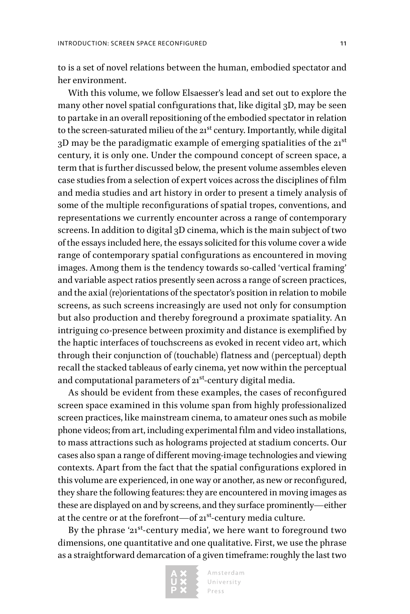to is a set of novel relations between the human, embodied spectator and her environment.

With this volume, we follow Elsaesser's lead and set out to explore the many other novel spatial configurations that, like digital 3D, may be seen to partake in an overall repositioning of the embodied spectator in relation to the screen-saturated milieu of the 21<sup>st</sup> century. Importantly, while digital 3D may be the paradigmatic example of emerging spatialities of the 21st century, it is only one. Under the compound concept of screen space, a term that is further discussed below, the present volume assembles eleven case studies from a selection of expert voices across the disciplines of film and media studies and art history in order to present a timely analysis of some of the multiple reconfigurations of spatial tropes, conventions, and representations we currently encounter across a range of contemporary screens. In addition to digital 3D cinema, which is the main subject of two of the essays included here, the essays solicited for this volume cover a wide range of contemporary spatial configurations as encountered in moving images. Among them is the tendency towards so-called 'vertical framing' and variable aspect ratios presently seen across a range of screen practices, and the axial (re)orientations of the spectator's position in relation to mobile screens, as such screens increasingly are used not only for consumption but also production and thereby foreground a proximate spatiality. An intriguing co-presence between proximity and distance is exemplified by the haptic interfaces of touchscreens as evoked in recent video art, which through their conjunction of (touchable) flatness and (perceptual) depth recall the stacked tableaus of early cinema, yet now within the perceptual and computational parameters of  $21^{st}$ -century digital media.

As should be evident from these examples, the cases of reconfigured screen space examined in this volume span from highly professionalized screen practices, like mainstream cinema, to amateur ones such as mobile phone videos; from art, including experimental film and video installations, to mass attractions such as holograms projected at stadium concerts. Our cases also span a range of different moving-image technologies and viewing contexts. Apart from the fact that the spatial configurations explored in this volume are experienced, in one way or another, as new or reconfigured, they share the following features: they are encountered in moving images as these are displayed on and by screens, and they surface prominently—either at the centre or at the forefront—of 21<sup>st</sup>-century media culture.

By the phrase '21<sup>st</sup>-century media', we here want to foreground two dimensions, one quantitative and one qualitative. First, we use the phrase as a straightforward demarcation of a given timeframe: roughly the last two

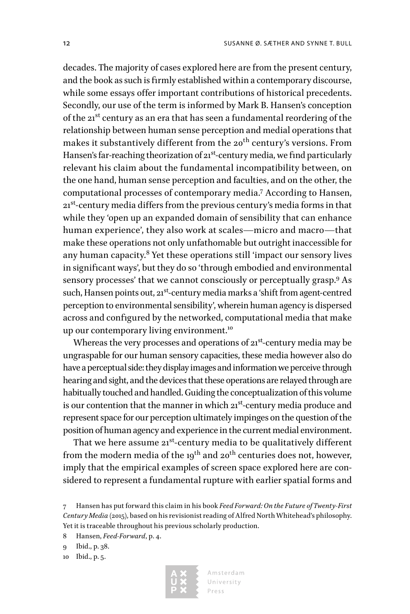decades. The majority of cases explored here are from the present century, and the book as such is firmly established within a contemporary discourse, while some essays offer important contributions of historical precedents. Secondly, our use of the term is informed by Mark B. Hansen's conception of the 21st century as an era that has seen a fundamental reordering of the relationship between human sense perception and medial operations that makes it substantively different from the 20<sup>th</sup> century's versions. From Hansen's far-reaching theorization of  $21^{st}$ -century media, we find particularly relevant his claim about the fundamental incompatibility between, on the one hand, human sense perception and faculties, and on the other, the computational processes of contemporary media.7 According to Hansen, 21<sup>st</sup>-century media differs from the previous century's media forms in that while they 'open up an expanded domain of sensibility that can enhance human experience', they also work at scales—micro and macro—that make these operations not only unfathomable but outright inaccessible for any human capacity. $^8$  Yet these operations still 'impact our sensory lives in significant ways', but they do so 'through embodied and environmental sensory processes' that we cannot consciously or perceptually grasp.<sup>9</sup> As such, Hansen points out, 21<sup>st</sup>-century media marks a 'shift from agent-centred perception to environmental sensibility', wherein human agency is dispersed across and configured by the networked, computational media that make up our contemporary living environment.<sup>10</sup>

Whereas the very processes and operations of  $21<sup>st</sup>$ -century media may be ungraspable for our human sensory capacities, these media however also do have a perceptual side: they display images and information we perceive through hearing and sight, and the devices that these operations are relayed through are habitually touched and handled. Guiding the conceptualization of this volume is our contention that the manner in which  $21^{st}$ -century media produce and represent space for our perception ultimately impinges on the question of the position of human agency and experience in the current medial environment.

That we here assume 21<sup>st</sup>-century media to be qualitatively different from the modern media of the 19<sup>th</sup> and 20<sup>th</sup> centuries does not, however, imply that the empirical examples of screen space explored here are considered to represent a fundamental rupture with earlier spatial forms and



<sup>7</sup> Hansen has put forward this claim in his book *Feed Forward: On the Future of Twenty-First Century Media* (2015), based on his revisionist reading of Alfred North Whitehead's philosophy. Yet it is traceable throughout his previous scholarly production.

<sup>8</sup> Hansen, *Feed-Forward*, p. 4.

<sup>9</sup> Ibid., p. 38.

<sup>10</sup> Ibid., p. 5.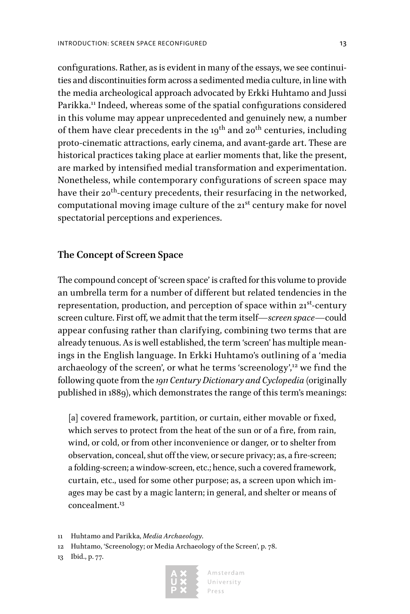configurations. Rather, as is evident in many of the essays, we see continuities and discontinuities form across a sedimented media culture, in line with the media archeological approach advocated by Erkki Huhtamo and Jussi Parikka.<sup>11</sup> Indeed, whereas some of the spatial configurations considered in this volume may appear unprecedented and genuinely new, a number of them have clear precedents in the  $19^{th}$  and  $20^{th}$  centuries, including proto-cinematic attractions, early cinema, and avant-garde art. These are historical practices taking place at earlier moments that, like the present, are marked by intensified medial transformation and experimentation. Nonetheless, while contemporary configurations of screen space may have their 20<sup>th</sup>-century precedents, their resurfacing in the networked, computational moving image culture of the 21<sup>st</sup> century make for novel spectatorial perceptions and experiences.

#### **The Concept of Screen Space**

The compound concept of 'screen space' is crafted for this volume to provide an umbrella term for a number of different but related tendencies in the representation, production, and perception of space within  $21<sup>st</sup>$ -century screen culture. First off, we admit that the term itself—*screen space*—could appear confusing rather than clarifying, combining two terms that are already tenuous. As is well established, the term 'screen' has multiple meanings in the English language. In Erkki Huhtamo's outlining of a 'media archaeology of the screen', or what he terms 'screenology',<sup>12</sup> we find the following quote from the *1911 Century Dictionary and Cyclopedia* (originally published in 1889), which demonstrates the range of this term's meanings:

[a] covered framework, partition, or curtain, either movable or fixed, which serves to protect from the heat of the sun or of a fire, from rain, wind, or cold, or from other inconvenience or danger, or to shelter from observation, conceal, shut off the view, or secure privacy; as, a fire-screen; a folding-screen; a window-screen, etc.; hence, such a covered framework, curtain, etc., used for some other purpose; as, a screen upon which images may be cast by a magic lantern; in general, and shelter or means of concealment.<sup>13</sup>



<sup>11</sup> Huhtamo and Parikka, *Media Archaeology*.

<sup>12</sup> Huhtamo, 'Screenology; or Media Archaeology of the Screen', p. 78.

<sup>13</sup> Ibid., p. 77.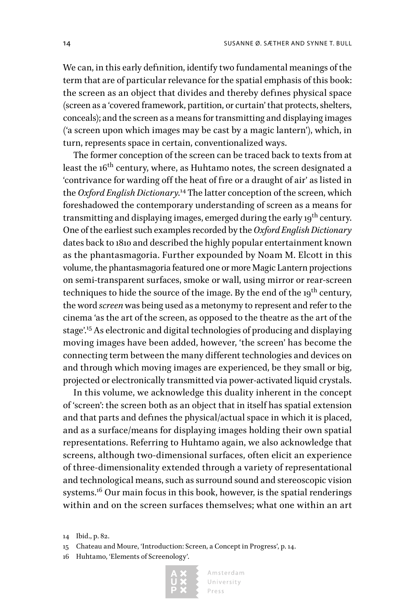We can, in this early definition, identify two fundamental meanings of the term that are of particular relevance for the spatial emphasis of this book: the screen as an object that divides and thereby defines physical space (screen as a 'covered framework, partition, or curtain' that protects, shelters, conceals); and the screen as a means for transmitting and displaying images ('a screen upon which images may be cast by a magic lantern'), which, in turn, represents space in certain, conventionalized ways.

The former conception of the screen can be traced back to texts from at least the 16<sup>th</sup> century, where, as Huhtamo notes, the screen designated a 'contrivance for warding off the heat of fire or a draught of air' as listed in the *Oxford English Dictionary*. 14 The latter conception of the screen, which foreshadowed the contemporary understanding of screen as a means for transmitting and displaying images, emerged during the early 19<sup>th</sup> century. One of the earliest such examples recorded by the *Oxford English Dictionary* dates back to 1810 and described the highly popular entertainment known as the phantasmagoria. Further expounded by Noam M. Elcott in this volume, the phantasmagoria featured one or more Magic Lantern projections on semi-transparent surfaces, smoke or wall, using mirror or rear-screen techniques to hide the source of the image. By the end of the 19<sup>th</sup> century, the word *screen* was being used as a metonymy to represent and refer to the cinema 'as the art of the screen, as opposed to the theatre as the art of the stage'.15 As electronic and digital technologies of producing and displaying moving images have been added, however, 'the screen' has become the connecting term between the many different technologies and devices on and through which moving images are experienced, be they small or big, projected or electronically transmitted via power-activated liquid crystals.

In this volume, we acknowledge this duality inherent in the concept of 'screen': the screen both as an object that in itself has spatial extension and that parts and defines the physical/actual space in which it is placed, and as a surface/means for displaying images holding their own spatial representations. Referring to Huhtamo again, we also acknowledge that screens, although two-dimensional surfaces, often elicit an experience of three-dimensionality extended through a variety of representational and technological means, such as surround sound and stereoscopic vision systems.<sup>16</sup> Our main focus in this book, however, is the spatial renderings within and on the screen surfaces themselves; what one within an art

<sup>16</sup> Huhtamo, 'Elements of Screenology'.



<sup>14</sup> Ibid., p. 82.

<sup>15</sup> Chateau and Moure, 'Introduction: Screen, a Concept in Progress', p. 14.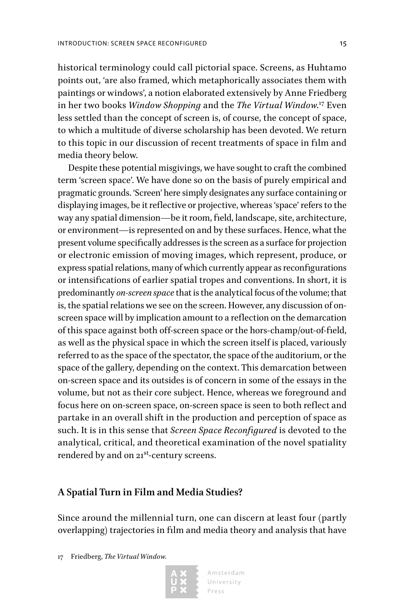historical terminology could call pictorial space. Screens, as Huhtamo points out, 'are also framed, which metaphorically associates them with paintings or windows', a notion elaborated extensively by Anne Friedberg in her two books *Window Shopping* and the *The Virtual Window*. 17 Even less settled than the concept of screen is, of course, the concept of space, to which a multitude of diverse scholarship has been devoted. We return to this topic in our discussion of recent treatments of space in film and media theory below.

Despite these potential misgivings, we have sought to craft the combined term 'screen space'. We have done so on the basis of purely empirical and pragmatic grounds. 'Screen' here simply designates any surface containing or displaying images, be it reflective or projective, whereas 'space' refers to the way any spatial dimension—be it room, field, landscape, site, architecture, or environment—is represented on and by these surfaces. Hence, what the present volume specifically addresses is the screen as a surface for projection or electronic emission of moving images, which represent, produce, or express spatial relations, many of which currently appear as reconfigurations or intensifications of earlier spatial tropes and conventions. In short, it is predominantly *on-screen space* that is the analytical focus of the volume; that is, the spatial relations we see on the screen. However, any discussion of onscreen space will by implication amount to a reflection on the demarcation of this space against both off-screen space or the hors-champ/out-of-field, as well as the physical space in which the screen itself is placed, variously referred to as the space of the spectator, the space of the auditorium, or the space of the gallery, depending on the context. This demarcation between on-screen space and its outsides is of concern in some of the essays in the volume, but not as their core subject. Hence, whereas we foreground and focus here on on-screen space, on-screen space is seen to both reflect and partake in an overall shift in the production and perception of space as such. It is in this sense that *Screen Space Reconfigured* is devoted to the analytical, critical, and theoretical examination of the novel spatiality rendered by and on 21<sup>st</sup>-century screens.

#### **A Spatial Turn in Film and Media Studies?**

Since around the millennial turn, one can discern at least four (partly overlapping) trajectories in film and media theory and analysis that have

17 Friedberg, *The Virtual Window.*

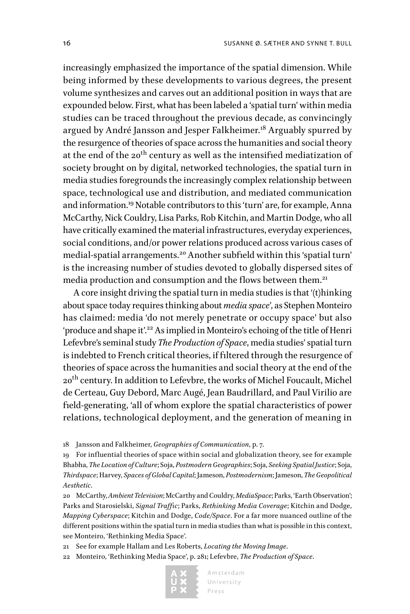increasingly emphasized the importance of the spatial dimension. While being informed by these developments to various degrees, the present volume synthesizes and carves out an additional position in ways that are expounded below. First, what has been labeled a 'spatial turn' within media studies can be traced throughout the previous decade, as convincingly argued by André Jansson and Jesper Falkheimer.<sup>18</sup> Arguably spurred by the resurgence of theories of space across the humanities and social theory at the end of the 20<sup>th</sup> century as well as the intensified mediatization of society brought on by digital, networked technologies, the spatial turn in media studies foregrounds the increasingly complex relationship between space, technological use and distribution, and mediated communication and information.19 Notable contributors to this 'turn' are, for example, Anna McCarthy, Nick Couldry, Lisa Parks, Rob Kitchin, and Martin Dodge, who all have critically examined the material infrastructures, everyday experiences, social conditions, and/or power relations produced across various cases of medial-spatial arrangements.20 Another subfield within this 'spatial turn' is the increasing number of studies devoted to globally dispersed sites of media production and consumption and the flows between them.<sup>21</sup>

A core insight driving the spatial turn in media studies is that '(t)hinking about space today requires thinking about *media space*', as Stephen Monteiro has claimed: media 'do not merely penetrate or occupy space' but also 'produce and shape it'.<sup>22</sup> As implied in Monteiro's echoing of the title of Henri Lefevbre's seminal study *The Production of Space*, media studies' spatial turn is indebted to French critical theories, if filtered through the resurgence of theories of space across the humanities and social theory at the end of the 20<sup>th</sup> century. In addition to Lefevbre, the works of Michel Foucault, Michel de Certeau, Guy Debord, Marc Augé, Jean Baudrillard, and Paul Virilio are field-generating, 'all of whom explore the spatial characteristics of power relations, technological deployment, and the generation of meaning in

18 Jansson and Falkheimer, *Geographies of Communication*, p. 7.

19 For influential theories of space within social and globalization theory, see for example Bhabha, *The Location of Culture*; Soja, *Postmodern Geographies*; Soja, *Seeking Spatial Justice*; Soja, *Thirdspace*; Harvey, *Spaces of Global Capital*; Jameson, *Postmodernism*; Jameson, *The Geopolitical Aesthetic*.

20 McCarthy, *Ambient Television*; McCarthy and Couldry, *MediaSpace*; Parks, 'Earth Observation'; Parks and Starosielski, *Signal Traffic*; Parks, *Rethinking Media Coverage*; Kitchin and Dodge, *Mapping Cyberspace*; Kitchin and Dodge, *Code/Space*. For a far more nuanced outline of the different positions within the spatial turn in media studies than what is possible in this context, see Monteiro, 'Rethinking Media Space'.

21 See for example Hallam and Les Roberts, *Locating the Moving Image*.

22 Monteiro, 'Rethinking Media Space', p. 281; Lefevbre, *The Production of Space*.

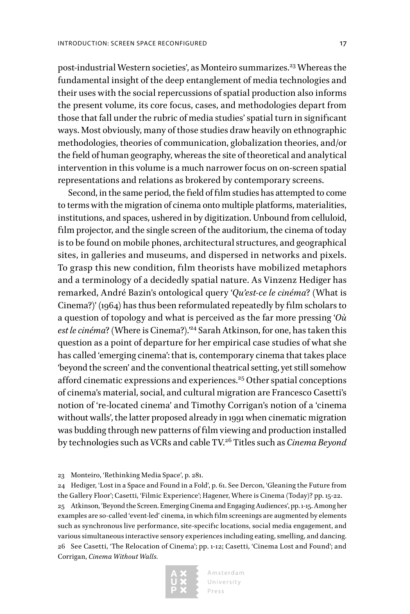post-industrial Western societies', as Monteiro summarizes.<sup>23</sup> Whereas the fundamental insight of the deep entanglement of media technologies and their uses with the social repercussions of spatial production also informs the present volume, its core focus, cases, and methodologies depart from those that fall under the rubric of media studies' spatial turn in significant ways. Most obviously, many of those studies draw heavily on ethnographic methodologies, theories of communication, globalization theories, and/or the field of human geography, whereas the site of theoretical and analytical intervention in this volume is a much narrower focus on on-screen spatial representations and relations as brokered by contemporary screens.

Second, in the same period, the field of film studies has attempted to come to terms with the migration of cinema onto multiple platforms, materialities, institutions, and spaces, ushered in by digitization. Unbound from celluloid, film projector, and the single screen of the auditorium, the cinema of today is to be found on mobile phones, architectural structures, and geographical sites, in galleries and museums, and dispersed in networks and pixels. To grasp this new condition, film theorists have mobilized metaphors and a terminology of a decidedly spatial nature. As Vinzenz Hediger has remarked, André Bazin's ontological query '*Qu'est-ce le cinéma*? (What is Cinema?)' (1964) has thus been reformulated repeatedly by film scholars to a question of topology and what is perceived as the far more pressing '*Où*  est le cinéma? (Where is Cinema?).<sup>24</sup> Sarah Atkinson, for one, has taken this question as a point of departure for her empirical case studies of what she has called 'emerging cinema': that is, contemporary cinema that takes place 'beyond the screen' and the conventional theatrical setting, yet still somehow afford cinematic expressions and experiences.<sup>25</sup> Other spatial conceptions of cinema's material, social, and cultural migration are Francesco Casetti's notion of 're-located cinema' and Timothy Corrigan's notion of a 'cinema without walls', the latter proposed already in 1991 when cinematic migration was budding through new patterns of film viewing and production installed by technologies such as VCRs and cable TV.26 Titles such as *Cinema Beyond* 

24 Hediger, 'Lost in a Space and Found in a Fold', p. 61. See Dercon, 'Gleaning the Future from the Gallery Floor'; Casetti, 'Filmic Experience'; Hagener, Where is Cinema (Today)? pp. 15-22. 25 Atkinson, 'Beyond the Screen. Emerging Cinema and Engaging Audiences', pp. 1-15. Among her examples are so-called 'event-led' cinema, in which film screenings are augmented by elements such as synchronous live performance, site-specific locations, social media engagement, and various simultaneous interactive sensory experiences including eating, smelling, and dancing. 26 See Casetti, 'The Relocation of Cinema'; pp. 1-12; Casetti, 'Cinema Lost and Found'; and Corrigan, *Cinema Without Walls.*



<sup>23</sup> Monteiro, 'Rethinking Media Space', p. 281.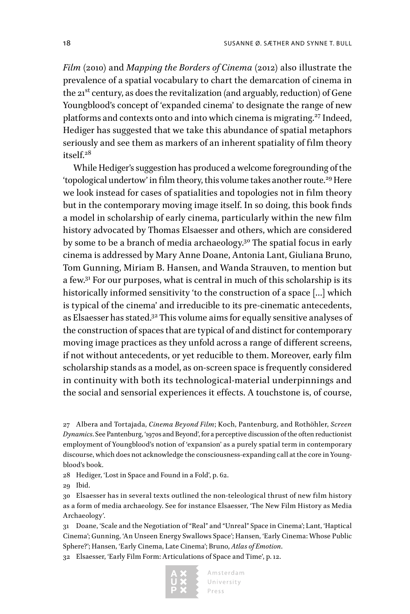*Film* (2010) and *Mapping the Borders of Cinema* (2012) also illustrate the prevalence of a spatial vocabulary to chart the demarcation of cinema in the 21<sup>st</sup> century, as does the revitalization (and arguably, reduction) of Gene Youngblood's concept of 'expanded cinema' to designate the range of new platforms and contexts onto and into which cinema is migrating.<sup>27</sup> Indeed, Hediger has suggested that we take this abundance of spatial metaphors seriously and see them as markers of an inherent spatiality of film theory  $itself<sup>28</sup>$ 

While Hediger's suggestion has produced a welcome foregrounding of the 'topological undertow' in film theory, this volume takes another route.29 Here we look instead for cases of spatialities and topologies not in film theory but in the contemporary moving image itself. In so doing, this book finds a model in scholarship of early cinema, particularly within the new film history advocated by Thomas Elsaesser and others, which are considered by some to be a branch of media archaeology.<sup>30</sup> The spatial focus in early cinema is addressed by Mary Anne Doane, Antonia Lant, Giuliana Bruno, Tom Gunning, Miriam B. Hansen, and Wanda Strauven, to mention but a few.31 For our purposes, what is central in much of this scholarship is its historically informed sensitivity 'to the construction of a space […] which is typical of the cinema' and irreducible to its pre-cinematic antecedents, as Elsaesser has stated.<sup>32</sup> This volume aims for equally sensitive analyses of the construction of spaces that are typical of and distinct for contemporary moving image practices as they unfold across a range of different screens, if not without antecedents, or yet reducible to them. Moreover, early film scholarship stands as a model, as on-screen space is frequently considered in continuity with both its technological-material underpinnings and the social and sensorial experiences it effects. A touchstone is, of course,

27 Albera and Tortajada, *Cinema Beyond Film*; Koch, Pantenburg, and Rothöhler, *Screen Dynamics*. See Pantenburg, '1970s and Beyond', for a perceptive discussion of the often reductionist employment of Youngblood's notion of 'expansion' as a purely spatial term in contemporary discourse, which does not acknowledge the consciousness-expanding call at the core in Youngblood's book.

28 Hediger, 'Lost in Space and Found in a Fold', p. 62.

29 Ibid.

30 Elsaesser has in several texts outlined the non-teleological thrust of new film history as a form of media archaeology. See for instance Elsaesser, 'The New Film History as Media Archaeology'.

31 Doane, 'Scale and the Negotiation of "Real" and "Unreal" Space in Cinema'; Lant, 'Haptical Cinema'; Gunning, 'An Unseen Energy Swallows Space'; Hansen, 'Early Cinema: Whose Public Sphere?'; Hansen, 'Early Cinema, Late Cinema'; Bruno, *Atlas of Emotion*.

32 Elsaesser, 'Early Film Form: Articulations of Space and Time', p. 12.

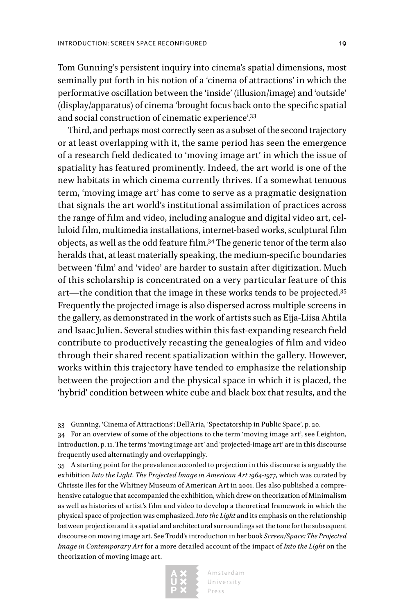Tom Gunning's persistent inquiry into cinema's spatial dimensions, most seminally put forth in his notion of a 'cinema of attractions' in which the performative oscillation between the 'inside' (illusion/image) and 'outside' (display/apparatus) of cinema 'brought focus back onto the specific spatial and social construction of cinematic experience'.33

Third, and perhaps most correctly seen as a subset of the second trajectory or at least overlapping with it, the same period has seen the emergence of a research field dedicated to 'moving image art' in which the issue of spatiality has featured prominently. Indeed, the art world is one of the new habitats in which cinema currently thrives. If a somewhat tenuous term, 'moving image art' has come to serve as a pragmatic designation that signals the art world's institutional assimilation of practices across the range of film and video, including analogue and digital video art, celluloid film, multimedia installations, internet-based works, sculptural film objects, as well as the odd feature film.34 The generic tenor of the term also heralds that, at least materially speaking, the medium-specific boundaries between 'film' and 'video' are harder to sustain after digitization. Much of this scholarship is concentrated on a very particular feature of this art—the condition that the image in these works tends to be projected.35 Frequently the projected image is also dispersed across multiple screens in the gallery, as demonstrated in the work of artists such as Eija-Liisa Ahtila and Isaac Julien. Several studies within this fast-expanding research field contribute to productively recasting the genealogies of film and video through their shared recent spatialization within the gallery. However, works within this trajectory have tended to emphasize the relationship between the projection and the physical space in which it is placed, the 'hybrid' condition between white cube and black box that results, and the

33 Gunning, 'Cinema of Attractions'; Dell'Aria, 'Spectatorship in Public Space', p. 20.

34 For an overview of some of the objections to the term 'moving image art', see Leighton, Introduction, p. 11. The terms 'moving image art' and 'projected-image art' are in this discourse frequently used alternatingly and overlappingly.

35 A starting point for the prevalence accorded to projection in this discourse is arguably the exhibition *Into the Light. The Projected Image in American Art 1964-1977*, which was curated by Chrissie Iles for the Whitney Museum of American Art in 2001. Iles also published a comprehensive catalogue that accompanied the exhibition, which drew on theorization of Minimalism as well as histories of artist's film and video to develop a theoretical framework in which the physical space of projection was emphasized. *Into the Light* and its emphasis on the relationship between projection and its spatial and architectural surroundings set the tone for the subsequent discourse on moving image art. See Trodd's introduction in her book *Screen/Space: The Projected Image in Contemporary Art* for a more detailed account of the impact of *Into the Light* on the theorization of moving image art.

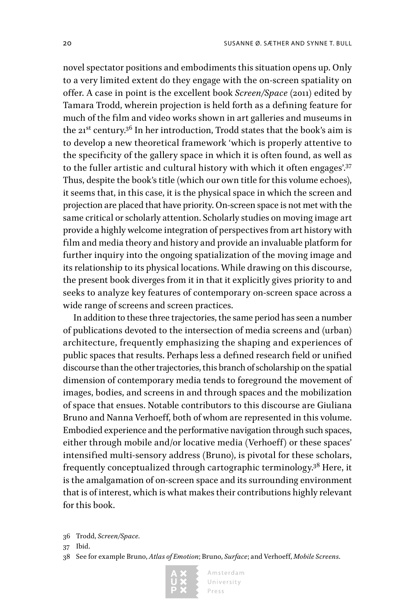novel spectator positions and embodiments this situation opens up. Only to a very limited extent do they engage with the on-screen spatiality on offer. A case in point is the excellent book *Screen/Space* (2011) edited by Tamara Trodd, wherein projection is held forth as a defining feature for much of the film and video works shown in art galleries and museums in the  $21^{st}$  century.<sup>36</sup> In her introduction, Trodd states that the book's aim is to develop a new theoretical framework 'which is properly attentive to the specificity of the gallery space in which it is often found, as well as to the fuller artistic and cultural history with which it often engages'.<sup>37</sup> Thus, despite the book's title (which our own title for this volume echoes), it seems that, in this case, it is the physical space in which the screen and projection are placed that have priority. On-screen space is not met with the same critical or scholarly attention. Scholarly studies on moving image art provide a highly welcome integration of perspectives from art history with film and media theory and history and provide an invaluable platform for further inquiry into the ongoing spatialization of the moving image and its relationship to its physical locations. While drawing on this discourse, the present book diverges from it in that it explicitly gives priority to and seeks to analyze key features of contemporary on-screen space across a wide range of screens and screen practices.

In addition to these three trajectories, the same period has seen a number of publications devoted to the intersection of media screens and (urban) architecture, frequently emphasizing the shaping and experiences of public spaces that results. Perhaps less a defined research field or unified discourse than the other trajectories, this branch of scholarship on the spatial dimension of contemporary media tends to foreground the movement of images, bodies, and screens in and through spaces and the mobilization of space that ensues. Notable contributors to this discourse are Giuliana Bruno and Nanna Verhoeff, both of whom are represented in this volume. Embodied experience and the performative navigation through such spaces, either through mobile and/or locative media (Verhoeff) or these spaces' intensified multi-sensory address (Bruno), is pivotal for these scholars, frequently conceptualized through cartographic terminology.38 Here, it is the amalgamation of on-screen space and its surrounding environment that is of interest, which is what makes their contributions highly relevant for this book.

<sup>38</sup> See for example Bruno, *Atlas of Emotion*; Bruno, *Surface*; and Verhoeff, *Mobile Screens*.



<sup>36</sup> Trodd, *Screen/Space.*

<sup>37</sup> Ibid.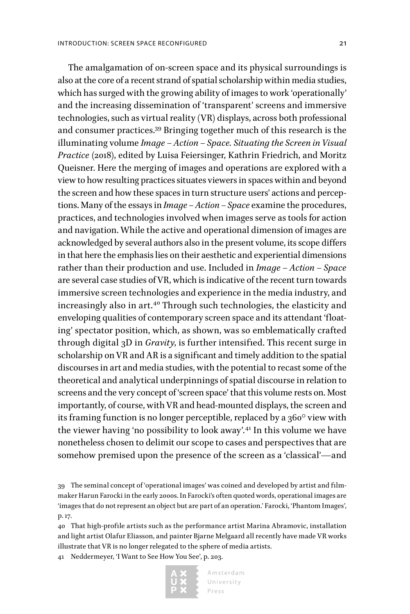The amalgamation of on-screen space and its physical surroundings is also at the core of a recent strand of spatial scholarship within media studies, which has surged with the growing ability of images to work 'operationally' and the increasing dissemination of 'transparent' screens and immersive technologies, such as virtual reality (VR) displays, across both professional and consumer practices.39 Bringing together much of this research is the illuminating volume *Image – Action – Space. Situating the Screen in Visual Practice* (2018), edited by Luisa Feiersinger, Kathrin Friedrich, and Moritz Queisner. Here the merging of images and operations are explored with a view to how resulting practices situates viewers in spaces within and beyond the screen and how these spaces in turn structure users' actions and perceptions. Many of the essays in *Image – Action – Space* examine the procedures, practices, and technologies involved when images serve as tools for action and navigation. While the active and operational dimension of images are acknowledged by several authors also in the present volume, its scope differs in that here the emphasis lies on their aesthetic and experiential dimensions rather than their production and use. Included in *Image – Action – Space* are several case studies of VR, which is indicative of the recent turn towards immersive screen technologies and experience in the media industry, and increasingly also in art.<sup>40</sup> Through such technologies, the elasticity and enveloping qualities of contemporary screen space and its attendant 'floating' spectator position, which, as shown, was so emblematically crafted through digital 3D in *Gravity*, is further intensified. This recent surge in scholarship on VR and AR is a significant and timely addition to the spatial discourses in art and media studies, with the potential to recast some of the theoretical and analytical underpinnings of spatial discourse in relation to screens and the very concept of 'screen space' that this volume rests on. Most importantly, of course, with VR and head-mounted displays, the screen and its framing function is no longer perceptible, replaced by a 360° view with the viewer having 'no possibility to look away'.41 In this volume we have nonetheless chosen to delimit our scope to cases and perspectives that are somehow premised upon the presence of the screen as a 'classical'—and

41 Neddermeyer, 'I Want to See How You See', p. 203.



<sup>39</sup> The seminal concept of 'operational images' was coined and developed by artist and filmmaker Harun Farocki in the early 2000s. In Farocki's often quoted words, operational images are 'images that do not represent an object but are part of an operation.' Farocki, 'Phantom Images', p. 17.

<sup>40</sup> That high-profile artists such as the performance artist Marina Abramovic, installation and light artist Olafur Eliasson, and painter Bjarne Melgaard all recently have made VR works illustrate that VR is no longer relegated to the sphere of media artists.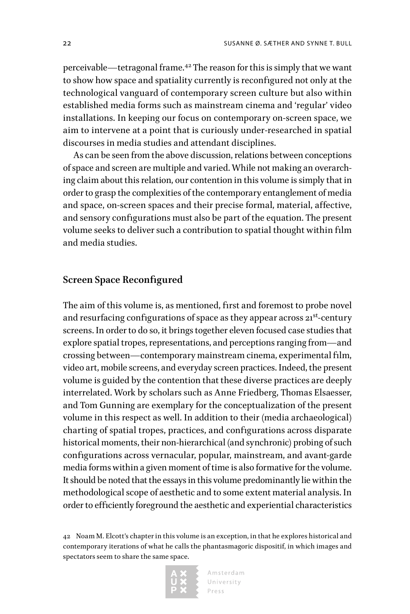perceivable—tetragonal frame.42 The reason for this is simply that we want to show how space and spatiality currently is reconfigured not only at the technological vanguard of contemporary screen culture but also within established media forms such as mainstream cinema and 'regular' video installations. In keeping our focus on contemporary on-screen space, we aim to intervene at a point that is curiously under-researched in spatial discourses in media studies and attendant disciplines.

As can be seen from the above discussion, relations between conceptions of space and screen are multiple and varied. While not making an overarching claim about this relation, our contention in this volume is simply that in order to grasp the complexities of the contemporary entanglement of media and space, on-screen spaces and their precise formal, material, affective, and sensory configurations must also be part of the equation. The present volume seeks to deliver such a contribution to spatial thought within film and media studies.

#### **Screen Space Reconfigured**

The aim of this volume is, as mentioned, first and foremost to probe novel and resurfacing configurations of space as they appear across  $21^{st}$ -century screens. In order to do so, it brings together eleven focused case studies that explore spatial tropes, representations, and perceptions ranging from—and crossing between—contemporary mainstream cinema, experimental film, video art, mobile screens, and everyday screen practices. Indeed, the present volume is guided by the contention that these diverse practices are deeply interrelated. Work by scholars such as Anne Friedberg, Thomas Elsaesser, and Tom Gunning are exemplary for the conceptualization of the present volume in this respect as well. In addition to their (media archaeological) charting of spatial tropes, practices, and configurations across disparate historical moments, their non-hierarchical (and synchronic) probing of such configurations across vernacular, popular, mainstream, and avant-garde media forms within a given moment of time is also formative for the volume. It should be noted that the essays in this volume predominantly lie within the methodological scope of aesthetic and to some extent material analysis. In order to efficiently foreground the aesthetic and experiential characteristics

42 Noam M. Elcott's chapter in this volume is an exception, in that he explores historical and contemporary iterations of what he calls the phantasmagoric dispositif, in which images and spectators seem to share the same space.

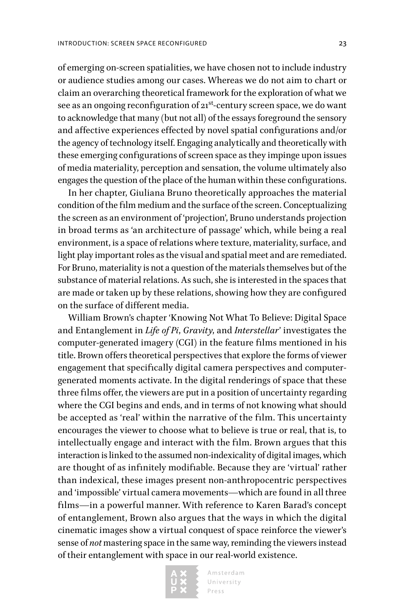of emerging on-screen spatialities, we have chosen not to include industry or audience studies among our cases. Whereas we do not aim to chart or claim an overarching theoretical framework for the exploration of what we see as an ongoing reconfiguration of  $21^{st}$ -century screen space, we do want to acknowledge that many (but not all) of the essays foreground the sensory and affective experiences effected by novel spatial configurations and/or the agency of technology itself. Engaging analytically and theoretically with these emerging configurations of screen space as they impinge upon issues of media materiality, perception and sensation, the volume ultimately also engages the question of the place of the human within these configurations.

In her chapter, Giuliana Bruno theoretically approaches the material condition of the film medium and the surface of the screen. Conceptualizing the screen as an environment of 'projection', Bruno understands projection in broad terms as 'an architecture of passage' which, while being a real environment, is a space of relations where texture, materiality, surface, and light play important roles as the visual and spatial meet and are remediated. For Bruno, materiality is not a question of the materials themselves but of the substance of material relations. As such, she is interested in the spaces that are made or taken up by these relations, showing how they are configured on the surface of different media.

William Brown's chapter 'Knowing Not What To Believe: Digital Space and Entanglement in *Life of Pi*, *Gravity*, and *Interstellar*' investigates the computer-generated imagery (CGI) in the feature films mentioned in his title. Brown offers theoretical perspectives that explore the forms of viewer engagement that specifically digital camera perspectives and computergenerated moments activate. In the digital renderings of space that these three films offer, the viewers are put in a position of uncertainty regarding where the CGI begins and ends, and in terms of not knowing what should be accepted as 'real' within the narrative of the film. This uncertainty encourages the viewer to choose what to believe is true or real, that is, to intellectually engage and interact with the film. Brown argues that this interaction is linked to the assumed non-indexicality of digital images, which are thought of as infinitely modifiable. Because they are 'virtual' rather than indexical, these images present non-anthropocentric perspectives and 'impossible' virtual camera movements—which are found in all three films—in a powerful manner. With reference to Karen Barad's concept of entanglement, Brown also argues that the ways in which the digital cinematic images show a virtual conquest of space reinforce the viewer's sense of *not* mastering space in the same way, reminding the viewers instead of their entanglement with space in our real-world existence.

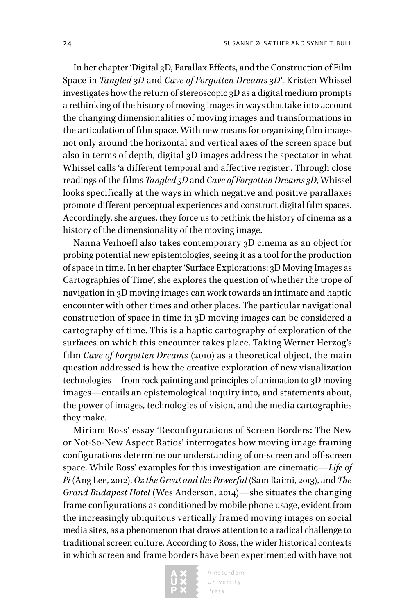In her chapter 'Digital 3D, Parallax Effects, and the Construction of Film Space in *Tangled 3D* and *Cave of Forgotten Dreams 3D*', Kristen Whissel investigates how the return of stereoscopic 3D as a digital medium prompts a rethinking of the history of moving images in ways that take into account the changing dimensionalities of moving images and transformations in the articulation of film space. With new means for organizing film images not only around the horizontal and vertical axes of the screen space but also in terms of depth, digital 3D images address the spectator in what Whissel calls 'a different temporal and affective register'. Through close readings of the films *Tangled 3D* and *Cave of Forgotten Dreams 3D*, Whissel looks specifically at the ways in which negative and positive parallaxes promote different perceptual experiences and construct digital film spaces. Accordingly, she argues, they force us to rethink the history of cinema as a history of the dimensionality of the moving image.

Nanna Verhoeff also takes contemporary 3D cinema as an object for probing potential new epistemologies, seeing it as a tool for the production of space in time. In her chapter 'Surface Explorations: 3D Moving Images as Cartographies of Time', she explores the question of whether the trope of navigation in 3D moving images can work towards an intimate and haptic encounter with other times and other places. The particular navigational construction of space in time in 3D moving images can be considered a cartography of time. This is a haptic cartography of exploration of the surfaces on which this encounter takes place. Taking Werner Herzog's film *Cave of Forgotten Dreams* (2010) as a theoretical object, the main question addressed is how the creative exploration of new visualization technologies—from rock painting and principles of animation to 3D moving images—entails an epistemological inquiry into, and statements about, the power of images, technologies of vision, and the media cartographies they make.

Miriam Ross' essay 'Reconfigurations of Screen Borders: The New or Not-So-New Aspect Ratios' interrogates how moving image framing configurations determine our understanding of on-screen and off-screen space. While Ross' examples for this investigation are cinematic—*Life of Pi* (Ang Lee, 2012), *Oz the Great and the Powerful* (Sam Raimi, 2013), and *The Grand Budapest Hotel* (Wes Anderson, 2014)—she situates the changing frame configurations as conditioned by mobile phone usage, evident from the increasingly ubiquitous vertically framed moving images on social media sites, as a phenomenon that draws attention to a radical challenge to traditional screen culture. According to Ross, the wider historical contexts in which screen and frame borders have been experimented with have not

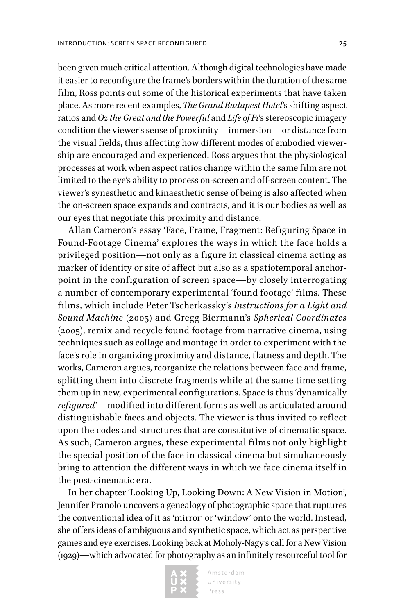been given much critical attention. Although digital technologies have made it easier to reconfigure the frame's borders within the duration of the same film, Ross points out some of the historical experiments that have taken place. As more recent examples, *The Grand Budapest Hotel*'s shifting aspect ratios and *Oz the Great and the Powerful* and *Life of Pi*'s stereoscopic imagery condition the viewer's sense of proximity—immersion—or distance from the visual fields, thus affecting how different modes of embodied viewership are encouraged and experienced. Ross argues that the physiological processes at work when aspect ratios change within the same film are not limited to the eye's ability to process on-screen and off-screen content. The viewer's synesthetic and kinaesthetic sense of being is also affected when the on-screen space expands and contracts, and it is our bodies as well as our eyes that negotiate this proximity and distance.

Allan Cameron's essay 'Face, Frame, Fragment: Refiguring Space in Found-Footage Cinema' explores the ways in which the face holds a privileged position—not only as a figure in classical cinema acting as marker of identity or site of affect but also as a spatiotemporal anchorpoint in the configuration of screen space—by closely interrogating a number of contemporary experimental 'found footage' films. These films, which include Peter Tscherkassky's *Instructions for a Light and Sound Machine* (2005) and Gregg Biermann's *Spherical Coordinates* (2005), remix and recycle found footage from narrative cinema, using techniques such as collage and montage in order to experiment with the face's role in organizing proximity and distance, flatness and depth. The works, Cameron argues, reorganize the relations between face and frame, splitting them into discrete fragments while at the same time setting them up in new, experimental configurations. Space is thus 'dynamically *refigured'*—modified into different forms as well as articulated around distinguishable faces and objects. The viewer is thus invited to reflect upon the codes and structures that are constitutive of cinematic space. As such, Cameron argues, these experimental films not only highlight the special position of the face in classical cinema but simultaneously bring to attention the different ways in which we face cinema itself in the post-cinematic era.

In her chapter 'Looking Up, Looking Down: A New Vision in Motion', Jennifer Pranolo uncovers a genealogy of photographic space that ruptures the conventional idea of it as 'mirror' or 'window' onto the world. Instead, she offers ideas of ambiguous and synthetic space, which act as perspective games and eye exercises. Looking back at Moholy-Nagy's call for a New Vision (1929)—which advocated for photography as an infinitely resourceful tool for

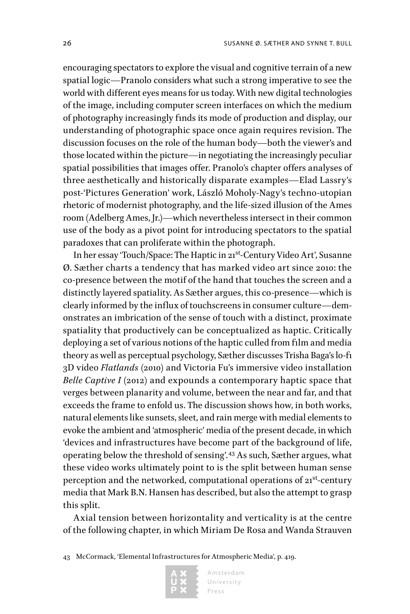encouraging spectators to explore the visual and cognitive terrain of a new spatial logic—Pranolo considers what such a strong imperative to see the world with different eyes means for us today. With new digital technologies of the image, including computer screen interfaces on which the medium of photography increasingly finds its mode of production and display, our understanding of photographic space once again requires revision. The discussion focuses on the role of the human body—both the viewer's and those located within the picture—in negotiating the increasingly peculiar spatial possibilities that images offer. Pranolo's chapter offers analyses of three aesthetically and historically disparate examples—Elad Lassry's post-'Pictures Generation' work, László Moholy-Nagy's techno-utopian rhetoric of modernist photography, and the life-sized illusion of the Ames room (Adelberg Ames, Jr.)—which nevertheless intersect in their common use of the body as a pivot point for introducing spectators to the spatial paradoxes that can proliferate within the photograph.

In her essay 'Touch/Space: The Haptic in 21st-Century Video Art', Susanne Ø. Sæther charts a tendency that has marked video art since 2010: the co-presence between the motif of the hand that touches the screen and a distinctly layered spatiality. As Sæther argues, this co-presence—which is clearly informed by the influx of touchscreens in consumer culture—demonstrates an imbrication of the sense of touch with a distinct, proximate spatiality that productively can be conceptualized as haptic. Critically deploying a set of various notions of the haptic culled from film and media theory as well as perceptual psychology, Sæther discusses Trisha Baga's lo-fi 3D video *Flatlands* (2010) and Victoria Fu's immersive video installation *Belle Captive I* (2012) and expounds a contemporary haptic space that verges between planarity and volume, between the near and far, and that exceeds the frame to enfold us. The discussion shows how, in both works, natural elements like sunsets, sleet, and rain merge with medial elements to evoke the ambient and 'atmospheric' media of the present decade, in which 'devices and infrastructures have become part of the background of life, operating below the threshold of sensing'.43 As such, Sæther argues, what these video works ultimately point to is the split between human sense perception and the networked, computational operations of 21<sup>st</sup>-century media that Mark B.N. Hansen has described, but also the attempt to grasp this split.

Axial tension between horizontality and verticality is at the centre of the following chapter, in which Miriam De Rosa and Wanda Strauven

<sup>43</sup> McCormack, 'Elemental Infrastructures for Atmospheric Media', p. 419.

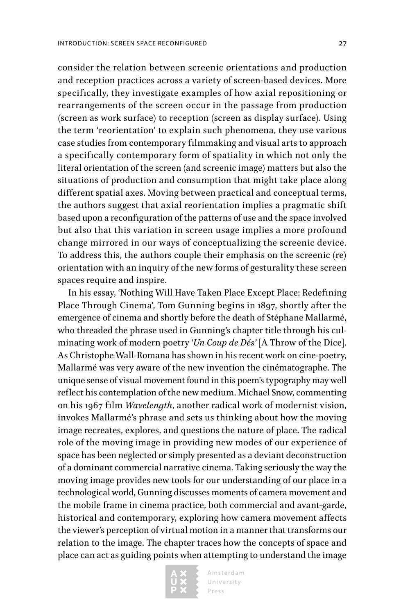consider the relation between screenic orientations and production and reception practices across a variety of screen-based devices. More specifically, they investigate examples of how axial repositioning or rearrangements of the screen occur in the passage from production (screen as work surface) to reception (screen as display surface). Using the term 'reorientation' to explain such phenomena, they use various case studies from contemporary filmmaking and visual arts to approach a specifically contemporary form of spatiality in which not only the literal orientation of the screen (and screenic image) matters but also the situations of production and consumption that might take place along different spatial axes. Moving between practical and conceptual terms, the authors suggest that axial reorientation implies a pragmatic shift based upon a reconfiguration of the patterns of use and the space involved but also that this variation in screen usage implies a more profound change mirrored in our ways of conceptualizing the screenic device. To address this, the authors couple their emphasis on the screenic (re) orientation with an inquiry of the new forms of gesturality these screen spaces require and inspire.

In his essay, 'Nothing Will Have Taken Place Except Place: Redefining Place Through Cinema', Tom Gunning begins in 1897, shortly after the emergence of cinema and shortly before the death of Stéphane Mallarmé, who threaded the phrase used in Gunning's chapter title through his culminating work of modern poetry '*Un Coup de Dés'* [A Throw of the Dice]. As Christophe Wall-Romana has shown in his recent work on cine-poetry, Mallarmé was very aware of the new invention the cinématographe. The unique sense of visual movement found in this poem's typography may well reflect his contemplation of the new medium. Michael Snow, commenting on his 1967 film *Wavelength*, another radical work of modernist vision, invokes Mallarmé's phrase and sets us thinking about how the moving image recreates, explores, and questions the nature of place. The radical role of the moving image in providing new modes of our experience of space has been neglected or simply presented as a deviant deconstruction of a dominant commercial narrative cinema. Taking seriously the way the moving image provides new tools for our understanding of our place in a technological world, Gunning discusses moments of camera movement and the mobile frame in cinema practice, both commercial and avant-garde, historical and contemporary, exploring how camera movement affects the viewer's perception of virtual motion in a manner that transforms our relation to the image. The chapter traces how the concepts of space and place can act as guiding points when attempting to understand the image

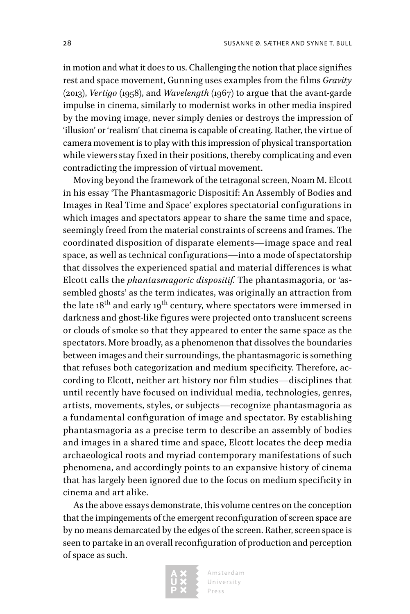in motion and what it does to us. Challenging the notion that place signifies rest and space movement, Gunning uses examples from the films *Gravity*  (2013), *Vertigo* (1958), and *Wavelength* (1967) to argue that the avant-garde impulse in cinema, similarly to modernist works in other media inspired by the moving image, never simply denies or destroys the impression of 'illusion' or 'realism' that cinema is capable of creating. Rather, the virtue of camera movement is to play with this impression of physical transportation while viewers stay fixed in their positions, thereby complicating and even contradicting the impression of virtual movement.

Moving beyond the framework of the tetragonal screen, Noam M. Elcott in his essay 'The Phantasmagoric Dispositif: An Assembly of Bodies and Images in Real Time and Space' explores spectatorial configurations in which images and spectators appear to share the same time and space, seemingly freed from the material constraints of screens and frames. The coordinated disposition of disparate elements—image space and real space, as well as technical configurations—into a mode of spectatorship that dissolves the experienced spatial and material differences is what Elcott calls the *phantasmagoric dispositif.* The phantasmagoria, or 'assembled ghosts' as the term indicates, was originally an attraction from the late  $18^{th}$  and early  $19^{th}$  century, where spectators were immersed in darkness and ghost-like figures were projected onto translucent screens or clouds of smoke so that they appeared to enter the same space as the spectators. More broadly, as a phenomenon that dissolves the boundaries between images and their surroundings, the phantasmagoric is something that refuses both categorization and medium specificity. Therefore, according to Elcott, neither art history nor film studies—disciplines that until recently have focused on individual media, technologies, genres, artists, movements, styles, or subjects—recognize phantasmagoria as a fundamental configuration of image and spectator. By establishing phantasmagoria as a precise term to describe an assembly of bodies and images in a shared time and space, Elcott locates the deep media archaeological roots and myriad contemporary manifestations of such phenomena, and accordingly points to an expansive history of cinema that has largely been ignored due to the focus on medium specificity in cinema and art alike.

As the above essays demonstrate, this volume centres on the conception that the impingements of the emergent reconfiguration of screen space are by no means demarcated by the edges of the screen. Rather, screen space is seen to partake in an overall reconfiguration of production and perception of space as such.

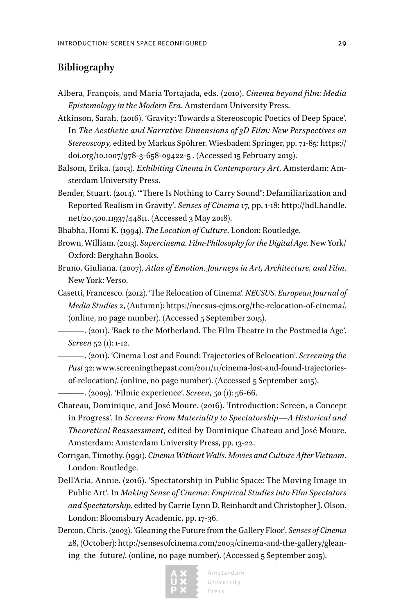#### **Bibliography**

- Albera, François, and Maria Tortajada, eds. (2010). *Cinema beyond film: Media Epistemology in the Modern Era*. Amsterdam University Press.
- Atkinson, Sarah. (2016). 'Gravity: Towards a Stereoscopic Poetics of Deep Space'. In *The Aesthetic and Narrative Dimensions of 3D Film: New Perspectives on Stereoscopy,* edited by Markus Spöhrer. Wiesbaden: Springer, pp. 71-85: https:// doi.org/10.1007/978-3-658-09422-5 . (Accessed 15 February 2019).
- Balsom, Erika. (2013). *Exhibiting Cinema in Contemporary Art*. Amsterdam: Amsterdam University Press.
- Bender, Stuart. (2014). '"There Is Nothing to Carry Sound": Defamiliarization and Reported Realism in Gravity'. *Senses of Cinema* 17, pp. 1-18: http://hdl.handle. net/20.500.11937/44811. (Accessed 3 May 2018).
- Bhabha, Homi K. (1994). *The Location of Culture*. London: Routledge.
- Brown, William. (2013). *Supercinema. Film-Philosophy for the Digital Age.* New York/ Oxford: Berghahn Books.
- Bruno, Giuliana. (2007). *Atlas of Emotion. Journeys in Art, Architecture, and Film*. New York: Verso.
- Casetti, Francesco. (2012). 'The Relocation of Cinema'. *NECSUS. European Journal of Media Studies* 2, (Autumn): https://necsus-ejms.org/the-relocation-of-cinema/. (online, no page number). (Accessed 5 September 2015).
	- ———. (2011). 'Back to the Motherland. The Film Theatre in the Postmedia Age'. *Screen* 52 (1): 1-12.
- ———. (2011). 'Cinema Lost and Found: Trajectories of Relocation'. *Screening the Past* 32: www.screeningthepast.com/2011/11/cinema-lost-and-found-trajectoriesof-relocation/. (online, no page number). (Accessed 5 September 2015).

———. (2009). 'Filmic experience'. *Screen*, 50 (1): 56-66.

- Chateau, Dominique, and José Moure. (2016). 'Introduction: Screen, a Concept in Progress'. In *Screens: From Materiality to Spectatorship—A Historical and Theoretical Reassessment*, edited by Dominique Chateau and José Moure*.*  Amsterdam: Amsterdam University Press, pp. 13-22.
- Corrigan, Timothy. (1991). *Cinema Without Walls. Movies and Culture After Vietnam*. London: Routledge.
- Dell'Aria, Annie. (2016). 'Spectatorship in Public Space: The Moving Image in Public Art'. In *Making Sense of Cinema: Empirical Studies into Film Spectators and Spectatorship,* edited by Carrie Lynn D. Reinhardt and Christopher J. Olson. London: Bloomsbury Academic, pp. 17-36.
- Dercon, Chris. (2003). 'Gleaning the Future from the Gallery Floor'. *Senses of Cinema* 28, (October): http://sensesofcinema.com/2003/cinema-and-the-gallery/gleaning\_the\_future/. (online, no page number). (Accessed 5 September 2015).

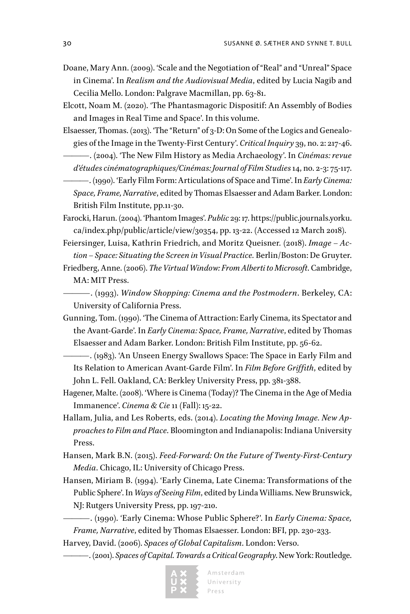- Doane, Mary Ann. (2009). 'Scale and the Negotiation of "Real" and "Unreal" Space in Cinema'. In *Realism and the Audiovisual Media*, edited by Lucia Nagib and Cecilia Mello. London: Palgrave Macmillan, pp. 63-81.
- Elcott, Noam M. (2020). 'The Phantasmagoric Dispositif: An Assembly of Bodies and Images in Real Time and Space'. In this volume.
- Elsaesser, Thomas. (2013). 'The "Return" of 3-D: On Some of the Logics and Genealogies of the Image in the Twenty-First Century'. *Critical Inquiry* 39, no. 2: 217-46.
	- ———. (2004). 'The New Film History as Media Archaeology'. In *Cinémas: revue d'études cinématographiques/Cinémas: Journal of Film Studies* 14, no. 2-3: 75-117.
	- ———. (1990). 'Early Film Form: Articulations of Space and Time'. In *Early Cinema: Space, Frame, Narrative*, edited by Thomas Elsaesser and Adam Barker. London: British Film Institute, pp.11-30.
- Farocki, Harun. (2004). 'Phantom Images'. *Public* 29: 17. https://public.journals.yorku. ca/index.php/public/article/view/30354, pp. 13-22. (Accessed 12 March 2018).
- Feiersinger, Luisa, Kathrin Friedrich, and Moritz Queisner. (2018). *Image Action – Space: Situating the Screen in Visual Practice.* Berlin/Boston: De Gruyter.
- Friedberg, Anne. (2006). *The Virtual Window: From Alberti to Microsoft*. Cambridge, MA: MIT Press.
	- ———. (1993). *Window Shopping: Cinema and the Postmodern*. Berkeley, CA: University of California Press.
- Gunning, Tom. (1990). 'The Cinema of Attraction: Early Cinema, its Spectator and the Avant-Garde'. In *Early Cinema: Space, Frame, Narrative*, edited by Thomas Elsaesser and Adam Barker. London: British Film Institute, pp. 56-62.
- ———. (1983). 'An Unseen Energy Swallows Space: The Space in Early Film and Its Relation to American Avant-Garde Film'. In *Film Before Griffith*, edited by John L. Fell. Oakland, CA: Berkley University Press, pp. 381-388.
- Hagener, Malte. (2008). 'Where is Cinema (Today)? The Cinema in the Age of Media Immanence'. *Cinema & Cie* 11 (Fall): 15-22.
- Hallam, Julia, and Les Roberts, eds. (2014). *Locating the Moving Image. New Approaches to Film and Place*. Bloomington and Indianapolis: Indiana University Press.
- Hansen, Mark B.N. (2015). *Feed-Forward: On the Future of Twenty-First-Century Media*. Chicago, IL: University of Chicago Press.
- Hansen, Miriam B. (1994). 'Early Cinema, Late Cinema: Transformations of the Public Sphere'. In *Ways of Seeing Film*, edited by Linda Williams. New Brunswick, NJ: Rutgers University Press, pp. 197-210.
	- ———. (1990). 'Early Cinema: Whose Public Sphere?'. In *Early Cinema: Space, Frame, Narrative*, edited by Thomas Elsaesser. London: BFI, pp. 230-233.
- Harvey, David. (2006). *Spaces of Global Capitalism*. London: Verso.
	- ———. (2001). *Spaces of Capital. Towards a Critical Geography*. New York: Routledge.

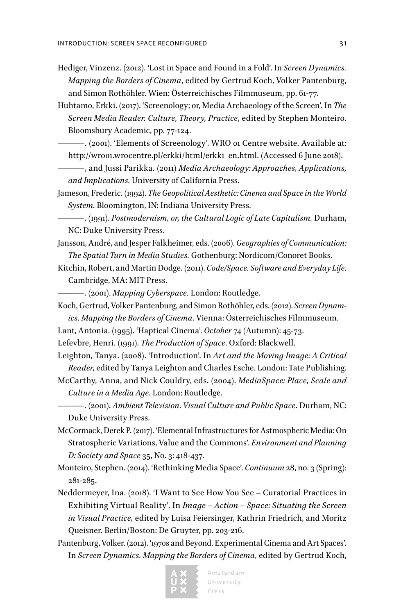- Hediger, Vinzenz. (2012). 'Lost in Space and Found in a Fold'. In *Screen Dynamics. Mapping the Borders of Cinema*, edited by Gertrud Koch, Volker Pantenburg, and Simon Rothöhler. Wien: Österreichisches Filmmuseum, pp. 61-77.
- Huhtamo, Erkki. (2017). 'Screenology; or, Media Archaeology of the Screen'. In *The Screen Media Reader. Culture, Theory, Practice*, edited by Stephen Monteiro. Bloomsbury Academic, pp. 77-124.
- ———. (2001). 'Elements of Screenology'. WRO 01 Centre website. Available at: http://wro01.wrocentre.pl/erkki/html/erkki\_en.html. (Accessed 6 June 2018).
- ———, and Jussi Parikka. (2011) *Media Archaeology: Approaches, Applications, and Implications.* University of California Press.
- Jameson, Frederic. (1992). *The Geopolitical Aesthetic: Cinema and Space in the World System.* Bloomington, IN: Indiana University Press.
- ———. (1991). *Postmodernism, or, the Cultural Logic of Late Capitalism.* Durham, NC: Duke University Press.
- Jansson, André, and Jesper Falkheimer, eds. (2006). *Geographies of Communication: The Spatial Turn in Media Studies.* Gothenburg: Nordicom/Conoret Books.
- Kitchin, Robert, and Martin Dodge. (2011). *Code/Space. Software and Everyday Life*. Cambridge, MA: MIT Press.

———. (2001). *Mapping Cyberspace.* London: Routledge.

- Koch, Gertrud, Volker Pantenburg, and Simon Rothöhler, eds. (2012). *Screen Dynamics. Mapping the Borders of Cinema*. Vienna: Österreichisches Filmmuseum.
- Lant, Antonia. (1995). 'Haptical Cinema'. *October* 74 (Autumn): 45-73.
- Lefevbre, Henri. (1991). *The Production of Space*. Oxford: Blackwell.
- Leighton, Tanya. (2008). 'Introduction'. In *Art and the Moving Image: A Critical Reader*, edited by Tanya Leighton and Charles Esche. London: Tate Publishing.
- McCarthy, Anna, and Nick Couldry, eds. (2004). *MediaSpace: Place, Scale and Culture in a Media Age*. London: Routledge.
	- ———. (2001). *Ambient Television. Visual Culture and Public Space*. Durham, NC: Duke University Press.
- McCormack, Derek P. (2017). 'Elemental Infrastructures for Astmospheric Media: On Stratospheric Variations, Value and the Commons'. *Environment and Planning D: Society and Space* 35, No. 3: 418-437.
- Monteiro, Stephen. (2014). 'Rethinking Media Space'. *Continuum* 28, no. 3 (Spring): 281-285.
- Neddermeyer, Ina. (2018). 'I Want to See How You See Curatorial Practices in Exhibiting Virtual Reality'. In *Image – Action – Space: Situating the Screen in Visual Practice,* edited by Luisa Feiersinger, Kathrin Friedrich, and Moritz Queisner. Berlin/Boston: De Gruyter, pp. 203-216.
- Pantenburg, Volker. (2012). '1970s and Beyond. Experimental Cinema and Art Spaces'. In *Screen Dynamics. Mapping the Borders of Cinema*, edited by Gertrud Koch,

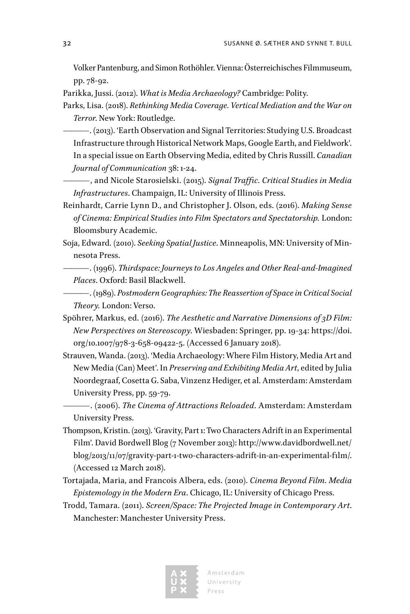Volker Pantenburg, and Simon Rothöhler. Vienna: Österreichisches Filmmuseum, pp. 78-92.

Parikka, Jussi. (2012). *What is Media Archaeology?* Cambridge: Polity.

- Parks, Lisa. (2018). *Rethinking Media Coverage. Vertical Mediation and the War on Terror*. New York: Routledge.
	- ———. (2013). 'Earth Observation and Signal Territories: Studying U.S. Broadcast Infrastructure through Historical Network Maps, Google Earth, and Fieldwork'. In a special issue on Earth Observing Media, edited by Chris Russill. *Canadian Journal of Communication* 38: 1-24.
	- ———, and Nicole Starosielski. (2015). *Signal Traffic. Critical Studies in Media Infrastructures*. Champaign, IL: University of Illinois Press.
- Reinhardt, Carrie Lynn D., and Christopher J. Olson, eds. (2016). *Making Sense of Cinema: Empirical Studies into Film Spectators and Spectatorship.* London: Bloomsbury Academic.
- Soja, Edward*.* (2010). *Seeking Spatial Justice*. Minneapolis, MN: University of Minnesota Press.
	- ———. (1996). *Thirdspace: Journeys to Los Angeles and Other Real-and-Imagined Places*. Oxford: Basil Blackwell.
	- ———. (1989). *Postmodern Geographies: The Reassertion of Space in Critical Social Theory.* London: Verso.
- Spöhrer, Markus, ed. (2016). *The Aesthetic and Narrative Dimensions of 3D Film: New Perspectives on Stereoscopy*. Wiesbaden: Springer, pp. 19-34: https://doi. org/10.1007/978-3-658-09422-5. (Accessed 6 January 2018).
- Strauven, Wanda. (2013). 'Media Archaeology: Where Film History, Media Art and New Media (Can) Meet'. In *Preserving and Exhibiting Media Art*, edited by Julia Noordegraaf, Cosetta G. Saba, Vinzenz Hediger, et al. Amsterdam: Amsterdam University Press, pp. 59-79.
	- ———. (2006). *The Cinema of Attractions Reloaded*. Amsterdam: Amsterdam University Press.
- Thompson, Kristin. (2013). 'Gravity, Part 1: Two Characters Adrift in an Experimental Film'. David Bordwell Blog (7 November 2013): http://www.davidbordwell.net/ blog/2013/11/07/gravity-part-1-two-characters-adrift-in-an-experimental-film/. (Accessed 12 March 2018).
- Tortajada, Maria, and Francois Albera, eds. (2010). *Cinema Beyond Film. Media Epistemology in the Modern Era*. Chicago, IL: University of Chicago Press.
- Trodd, Tamara. (2011). *Screen/Space: The Projected Image in Contemporary Art*. Manchester: Manchester University Press.

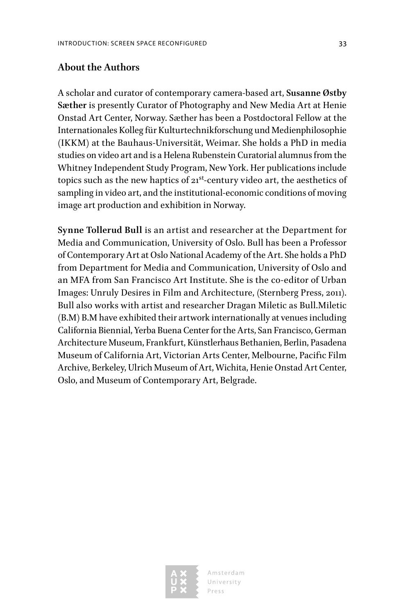#### **About the Authors**

A scholar and curator of contemporary camera-based art, **Susanne Østby Sæther** is presently Curator of Photography and New Media Art at Henie Onstad Art Center, Norway. Sæther has been a Postdoctoral Fellow at the Internationales Kolleg für Kulturtechnikforschung und Medienphilosophie (IKKM) at the Bauhaus-Universität, Weimar. She holds a PhD in media studies on video art and is a Helena Rubenstein Curatorial alumnus from the Whitney Independent Study Program, New York. Her publications include topics such as the new haptics of  $21^{st}$ -century video art, the aesthetics of sampling in video art, and the institutional-economic conditions of moving image art production and exhibition in Norway.

**Synne Tollerud Bull** is an artist and researcher at the Department for Media and Communication, University of Oslo. Bull has been a Professor of Contemporary Art at Oslo National Academy of the Art. She holds a PhD from Department for Media and Communication, University of Oslo and an MFA from San Francisco Art Institute. She is the co-editor of Urban Images: Unruly Desires in Film and Architecture, (Sternberg Press, 2011). Bull also works with artist and researcher Dragan Miletic as Bull.Miletic (B.M) B.M have exhibited their artwork internationally at venues including California Biennial, Yerba Buena Center for the Arts, San Francisco, German Architecture Museum, Frankfurt, Künstlerhaus Bethanien, Berlin, Pasadena Museum of California Art, Victorian Arts Center, Melbourne, Pacific Film Archive, Berkeley, Ulrich Museum of Art, Wichita, Henie Onstad Art Center, Oslo, and Museum of Contemporary Art, Belgrade.



Amsterdam University